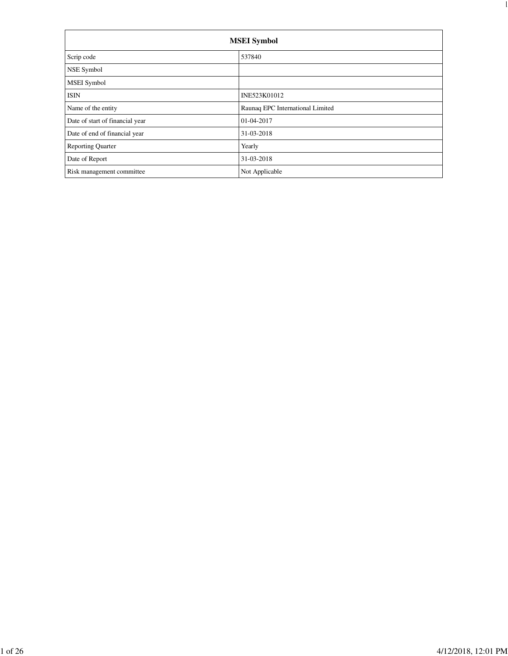| <b>MSEI</b> Symbol              |                                  |  |  |  |  |
|---------------------------------|----------------------------------|--|--|--|--|
| Scrip code                      | 537840                           |  |  |  |  |
| NSE Symbol                      |                                  |  |  |  |  |
| <b>MSEI</b> Symbol              |                                  |  |  |  |  |
| <b>ISIN</b>                     | INE523K01012                     |  |  |  |  |
| Name of the entity              | Raunaq EPC International Limited |  |  |  |  |
| Date of start of financial year | 01-04-2017                       |  |  |  |  |
| Date of end of financial year   | 31-03-2018                       |  |  |  |  |
| <b>Reporting Quarter</b>        | Yearly                           |  |  |  |  |
| Date of Report                  | 31-03-2018                       |  |  |  |  |
| Risk management committee       | Not Applicable                   |  |  |  |  |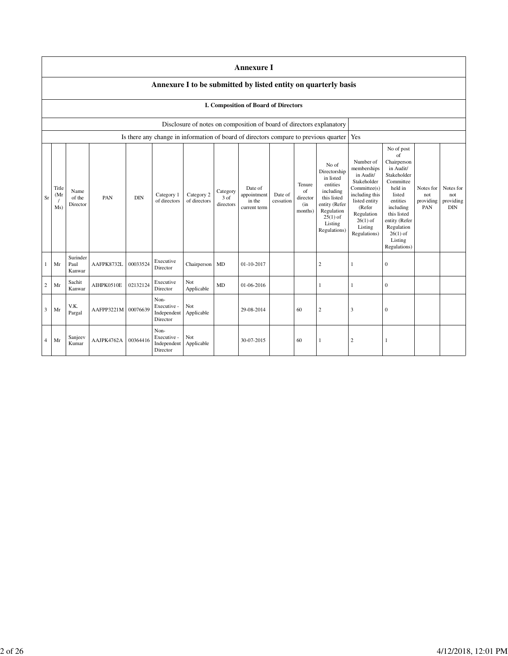|    |                                                                |                                                                      |                     |            |                                                |                            |                               | <b>Annexure I</b>                                |                      |                                            |                                                                                                                                                    |                                                                                                                                                                          |                                                                                                                                                                                                               |                                      |                                             |
|----|----------------------------------------------------------------|----------------------------------------------------------------------|---------------------|------------|------------------------------------------------|----------------------------|-------------------------------|--------------------------------------------------|----------------------|--------------------------------------------|----------------------------------------------------------------------------------------------------------------------------------------------------|--------------------------------------------------------------------------------------------------------------------------------------------------------------------------|---------------------------------------------------------------------------------------------------------------------------------------------------------------------------------------------------------------|--------------------------------------|---------------------------------------------|
|    | Annexure I to be submitted by listed entity on quarterly basis |                                                                      |                     |            |                                                |                            |                               |                                                  |                      |                                            |                                                                                                                                                    |                                                                                                                                                                          |                                                                                                                                                                                                               |                                      |                                             |
|    | <b>I. Composition of Board of Directors</b>                    |                                                                      |                     |            |                                                |                            |                               |                                                  |                      |                                            |                                                                                                                                                    |                                                                                                                                                                          |                                                                                                                                                                                                               |                                      |                                             |
|    |                                                                | Disclosure of notes on composition of board of directors explanatory |                     |            |                                                |                            |                               |                                                  |                      |                                            |                                                                                                                                                    |                                                                                                                                                                          |                                                                                                                                                                                                               |                                      |                                             |
|    |                                                                |                                                                      |                     |            |                                                |                            |                               |                                                  |                      |                                            | Is there any change in information of board of directors compare to previous quarter                                                               | Yes                                                                                                                                                                      |                                                                                                                                                                                                               |                                      |                                             |
| Sr | Title<br>(Mr)<br>Ms)                                           | Name<br>of the<br>Director                                           | PAN                 | <b>DIN</b> | Category 1<br>of directors                     | Category 2<br>of directors | Category<br>3 of<br>directors | Date of<br>appointment<br>in the<br>current term | Date of<br>cessation | Tenure<br>of<br>director<br>(in<br>months) | No of<br>Directorship<br>in listed<br>entities<br>including<br>this listed<br>entity (Refer<br>Regulation<br>$25(1)$ of<br>Listing<br>Regulations) | Number of<br>memberships<br>in Audit/<br>Stakeholder<br>Committee(s)<br>including this<br>listed entity<br>(Refer<br>Regulation<br>$26(1)$ of<br>Listing<br>Regulations) | No of post<br>of<br>Chairperson<br>in Audit/<br>Stakeholder<br>Committee<br>held in<br>listed<br>entities<br>including<br>this listed<br>entity (Refer<br>Regulation<br>$26(1)$ of<br>Listing<br>Regulations) | Notes for<br>not<br>providing<br>PAN | Notes for<br>not<br>providing<br><b>DIN</b> |
|    | Mr                                                             | Surinder<br>Paul<br>Kanwar                                           | AAFPK8732L          | 00033524   | Executive<br>Director                          | Chairperson                | MD                            | 01-10-2017                                       |                      |                                            | $\overline{c}$                                                                                                                                     | 1                                                                                                                                                                        | 0                                                                                                                                                                                                             |                                      |                                             |
|    | Mr                                                             | Sachit<br>Kanwar                                                     | AIHPK0510E          | 02132124   | Executive<br>Director                          | Not<br>Applicable          | MD                            | 01-06-2016                                       |                      |                                            |                                                                                                                                                    | $\mathbf{1}$                                                                                                                                                             | $\boldsymbol{0}$                                                                                                                                                                                              |                                      |                                             |
| 3  | Mr                                                             | V.K.<br>Pargal                                                       | AAFPP3221M 00076639 |            | Non-<br>Executive -<br>Independent<br>Director | Not<br>Applicable          |                               | 29-08-2014                                       |                      | 60                                         | $\overline{2}$                                                                                                                                     | 3                                                                                                                                                                        | $\mathbf{0}$                                                                                                                                                                                                  |                                      |                                             |
| 4  | Mr                                                             | Sanjeev<br>Kumar                                                     | AAJPK4762A          | 00364416   | Non-<br>Executive -<br>Independent<br>Director | Not<br>Applicable          |                               | 30-07-2015                                       |                      | 60                                         |                                                                                                                                                    | $\overline{2}$                                                                                                                                                           | 1                                                                                                                                                                                                             |                                      |                                             |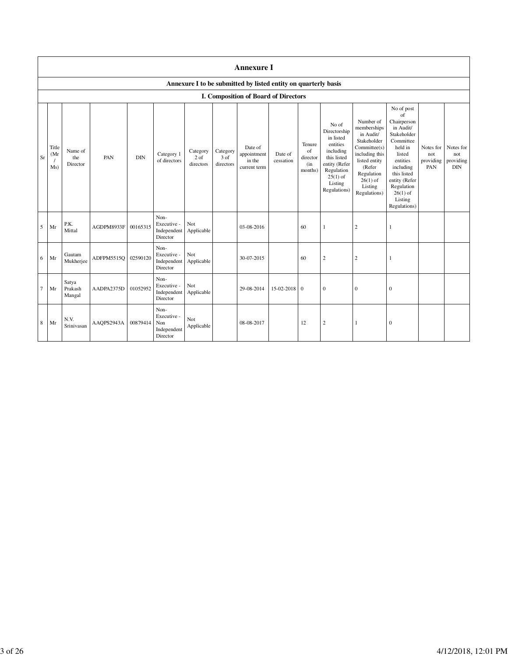|                | <b>Annexure I</b>                                              |                            |            |            |                                                       |                                 |                                 |                                                  |                      |                                            |                                                                                                                                                    |                                                                                                                                                                          |                                                                                                                                                                                                               |                                      |                                             |
|----------------|----------------------------------------------------------------|----------------------------|------------|------------|-------------------------------------------------------|---------------------------------|---------------------------------|--------------------------------------------------|----------------------|--------------------------------------------|----------------------------------------------------------------------------------------------------------------------------------------------------|--------------------------------------------------------------------------------------------------------------------------------------------------------------------------|---------------------------------------------------------------------------------------------------------------------------------------------------------------------------------------------------------------|--------------------------------------|---------------------------------------------|
|                | Annexure I to be submitted by listed entity on quarterly basis |                            |            |            |                                                       |                                 |                                 |                                                  |                      |                                            |                                                                                                                                                    |                                                                                                                                                                          |                                                                                                                                                                                                               |                                      |                                             |
|                | I. Composition of Board of Directors                           |                            |            |            |                                                       |                                 |                                 |                                                  |                      |                                            |                                                                                                                                                    |                                                                                                                                                                          |                                                                                                                                                                                                               |                                      |                                             |
| Sr             | Title<br>(Mr)<br>Ms)                                           | Name of<br>the<br>Director | PAN        | <b>DIN</b> | Category 1<br>of directors                            | Category<br>$2$ of<br>directors | Category<br>$3$ of<br>directors | Date of<br>appointment<br>in the<br>current term | Date of<br>cessation | Tenure<br>of<br>director<br>(in<br>months) | No of<br>Directorship<br>in listed<br>entities<br>including<br>this listed<br>entity (Refer<br>Regulation<br>$25(1)$ of<br>Listing<br>Regulations) | Number of<br>memberships<br>in Audit/<br>Stakeholder<br>Committee(s)<br>including this<br>listed entity<br>(Refer<br>Regulation<br>$26(1)$ of<br>Listing<br>Regulations) | No of post<br>of<br>Chairperson<br>in Audit/<br>Stakeholder<br>Committee<br>held in<br>listed<br>entities<br>including<br>this listed<br>entity (Refer<br>Regulation<br>$26(1)$ of<br>Listing<br>Regulations) | Notes for<br>not<br>providing<br>PAN | Notes for<br>not<br>providing<br><b>DIN</b> |
| 5              | Mr                                                             | P.K.<br>Mittal             | AGDPM8933F | 00165315   | Non-<br>Executive -<br>Independent<br>Director        | Not<br>Applicable               |                                 | 03-08-2016                                       |                      | 60                                         | 1                                                                                                                                                  | $\overline{c}$                                                                                                                                                           | 1                                                                                                                                                                                                             |                                      |                                             |
| 6              | Mr                                                             | Gautam<br>Mukherjee        | ADFPM5515O | 02590120   | Non-<br>Executive -<br>Independent<br>Director        | Not<br>Applicable               |                                 | 30-07-2015                                       |                      | 60                                         | $\overline{c}$                                                                                                                                     | $\overline{c}$                                                                                                                                                           | 1                                                                                                                                                                                                             |                                      |                                             |
| $\overline{7}$ | Mr                                                             | Satya<br>Prakash<br>Mangal | AADPA2375D | 01052952   | Non-<br>Executive -<br>Independent<br>Director        | Not<br>Applicable               |                                 | 29-08-2014                                       | 15-02-2018 0         |                                            | $\mathbf{0}$                                                                                                                                       | $\mathbf{0}$                                                                                                                                                             | $\mathbf{0}$                                                                                                                                                                                                  |                                      |                                             |
| 8              | Mr                                                             | N.V.<br>Srinivasan         | AAOPS2943A | 00879414   | Non-<br>Executive -<br>Non<br>Independent<br>Director | Not<br>Applicable               |                                 | 08-08-2017                                       |                      | 12                                         | $\overline{c}$                                                                                                                                     | 1                                                                                                                                                                        | $\boldsymbol{0}$                                                                                                                                                                                              |                                      |                                             |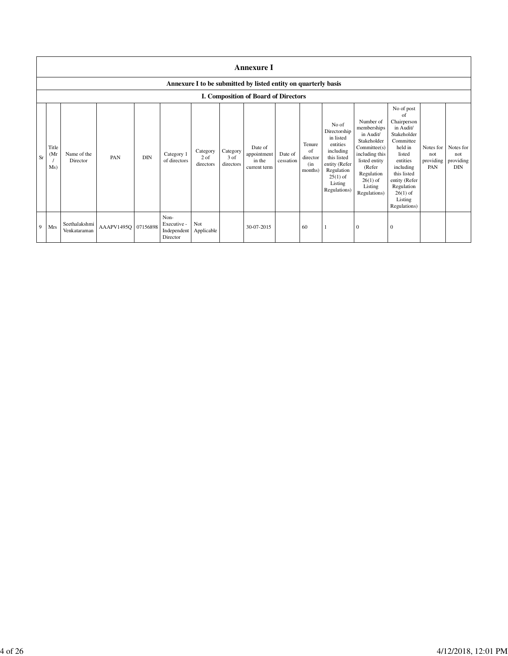|           | <b>Annexure I</b>   |                               |                     |            |                                                |                                 |                                 |                                                                |                      |                                            |                                                                                                                                                    |                                                                                                                                                                          |                                                                                                                                                                                                               |                                      |                                      |
|-----------|---------------------|-------------------------------|---------------------|------------|------------------------------------------------|---------------------------------|---------------------------------|----------------------------------------------------------------|----------------------|--------------------------------------------|----------------------------------------------------------------------------------------------------------------------------------------------------|--------------------------------------------------------------------------------------------------------------------------------------------------------------------------|---------------------------------------------------------------------------------------------------------------------------------------------------------------------------------------------------------------|--------------------------------------|--------------------------------------|
|           |                     |                               |                     |            |                                                |                                 |                                 | Annexure I to be submitted by listed entity on quarterly basis |                      |                                            |                                                                                                                                                    |                                                                                                                                                                          |                                                                                                                                                                                                               |                                      |                                      |
|           |                     |                               |                     |            |                                                |                                 |                                 | I. Composition of Board of Directors                           |                      |                                            |                                                                                                                                                    |                                                                                                                                                                          |                                                                                                                                                                                                               |                                      |                                      |
| <b>Sr</b> | Title<br>(Mr<br>Ms) | Name of the<br>Director       | PAN                 | <b>DIN</b> | Category 1<br>of directors                     | Category<br>$2$ of<br>directors | Category<br>$3$ of<br>directors | Date of<br>appointment<br>in the<br>current term               | Date of<br>cessation | Tenure<br>of<br>director<br>(in<br>months) | No of<br>Directorship<br>in listed<br>entities<br>including<br>this listed<br>entity (Refer<br>Regulation<br>$25(1)$ of<br>Listing<br>Regulations) | Number of<br>memberships<br>in Audit/<br>Stakeholder<br>Committee(s)<br>including this<br>listed entity<br>(Refer<br>Regulation<br>$26(1)$ of<br>Listing<br>Regulations) | No of post<br>of<br>Chairperson<br>in Audit/<br>Stakeholder<br>Committee<br>held in<br>listed<br>entities<br>including<br>this listed<br>entity (Refer<br>Regulation<br>$26(1)$ of<br>Listing<br>Regulations) | Notes for<br>not<br>providing<br>PAN | Notes for<br>not<br>providing<br>DIN |
| 9         | Mrs                 | Seethalakshmi<br>Venkataraman | AAAPV1495O 07156898 |            | Non-<br>Executive -<br>Independent<br>Director | Not<br>Applicable               |                                 | 30-07-2015                                                     |                      | 60                                         |                                                                                                                                                    | $\Omega$                                                                                                                                                                 | $\Omega$                                                                                                                                                                                                      |                                      |                                      |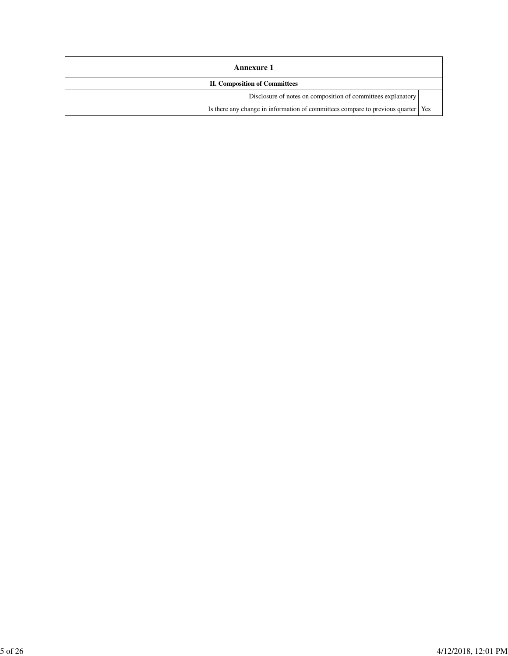| Annexure 1                                                                         |  |  |  |  |  |
|------------------------------------------------------------------------------------|--|--|--|--|--|
| <b>II. Composition of Committees</b>                                               |  |  |  |  |  |
| Disclosure of notes on composition of committees explanatory                       |  |  |  |  |  |
| Is there any change in information of committees compare to previous quarter   Yes |  |  |  |  |  |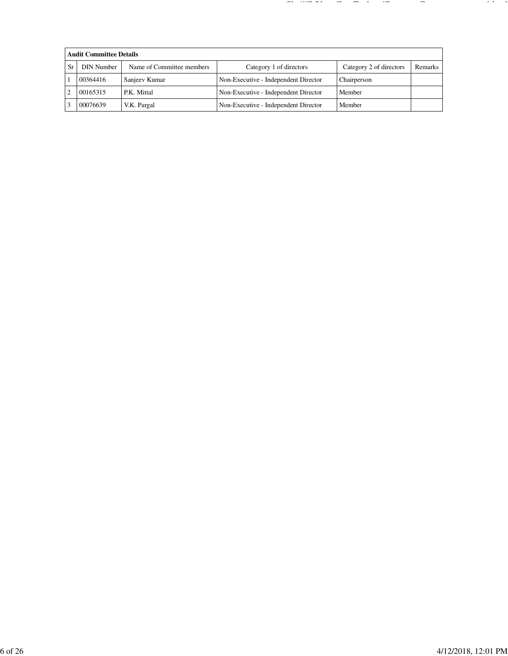| <b>Audit Committee Details</b> |                           |                                      |                         |         |  |  |  |  |  |
|--------------------------------|---------------------------|--------------------------------------|-------------------------|---------|--|--|--|--|--|
| <b>DIN Number</b>              | Name of Committee members | Category 1 of directors              | Category 2 of directors | Remarks |  |  |  |  |  |
| 00364416                       | Sanjeev Kumar             | Non-Executive - Independent Director | Chairperson             |         |  |  |  |  |  |
| 00165315                       | P.K. Mittal               | Non-Executive - Independent Director | Member                  |         |  |  |  |  |  |
| 00076639                       | V.K. Pargal               | Non-Executive - Independent Director | Member                  |         |  |  |  |  |  |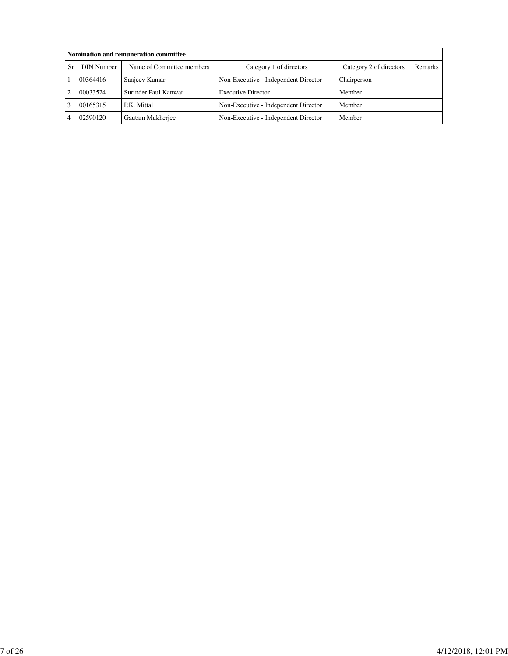|    | Nomination and remuneration committee |                           |                                      |                         |         |  |  |  |  |  |
|----|---------------------------------------|---------------------------|--------------------------------------|-------------------------|---------|--|--|--|--|--|
| Sr | <b>DIN Number</b>                     | Name of Committee members | Category 1 of directors              | Category 2 of directors | Remarks |  |  |  |  |  |
|    | 00364416                              | Sanjeev Kumar             | Non-Executive - Independent Director | Chairperson             |         |  |  |  |  |  |
|    | 00033524                              | Surinder Paul Kanwar      | <b>Executive Director</b>            | Member                  |         |  |  |  |  |  |
|    | 00165315                              | P.K. Mittal               | Non-Executive - Independent Director | Member                  |         |  |  |  |  |  |
|    | 02590120                              | Gautam Mukherjee          | Non-Executive - Independent Director | Member                  |         |  |  |  |  |  |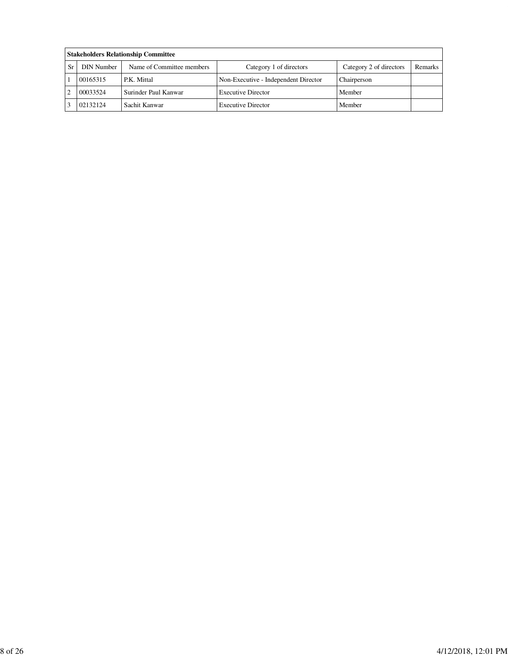|    | <b>Stakeholders Relationship Committee</b> |                           |                                      |                         |         |  |  |  |  |  |
|----|--------------------------------------------|---------------------------|--------------------------------------|-------------------------|---------|--|--|--|--|--|
| Sr | <b>DIN Number</b>                          | Name of Committee members | Category 1 of directors              | Category 2 of directors | Remarks |  |  |  |  |  |
|    | 00165315                                   | P.K. Mittal               | Non-Executive - Independent Director | Chairperson             |         |  |  |  |  |  |
|    | 00033524                                   | Surinder Paul Kanwar      | <b>Executive Director</b>            | Member                  |         |  |  |  |  |  |
|    | 02132124                                   | Sachit Kanwar             | <b>Executive Director</b>            | Member                  |         |  |  |  |  |  |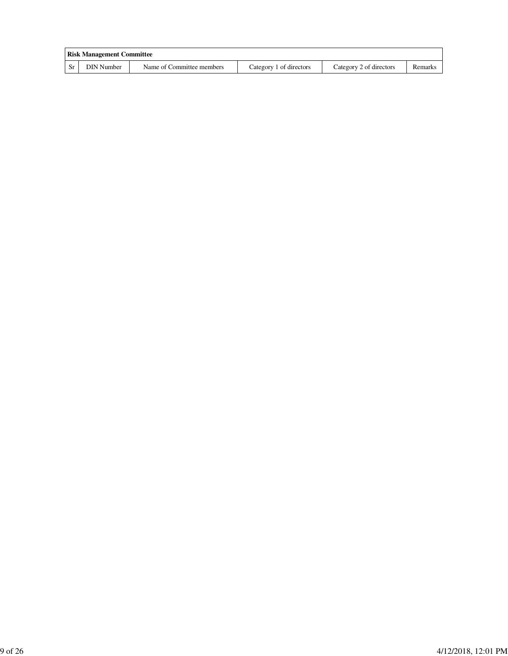|           | <b>Risk Management Committee</b> |                           |                         |                         |         |
|-----------|----------------------------------|---------------------------|-------------------------|-------------------------|---------|
| <b>Sr</b> | DIN Number                       | Name of Committee members | Category 1 of directors | Category 2 of directors | Remarks |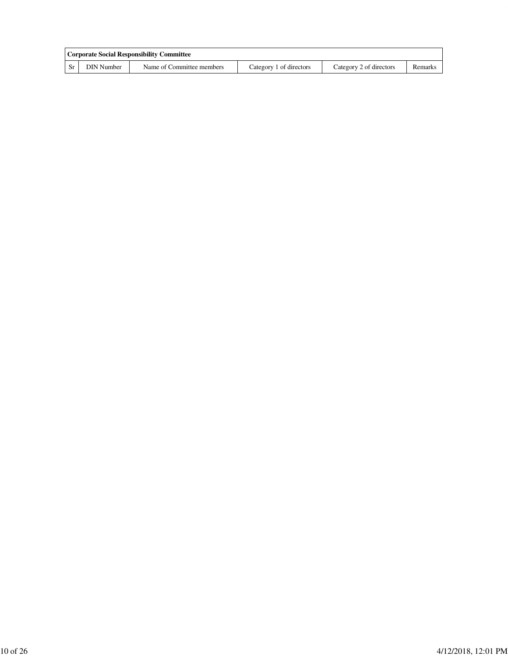|            | <b>Corporate Social Responsibility Committee</b> |                         |                         |         |
|------------|--------------------------------------------------|-------------------------|-------------------------|---------|
| DIN Number | Name of Committee members                        | Category 1 of directors | Category 2 of directors | Remarks |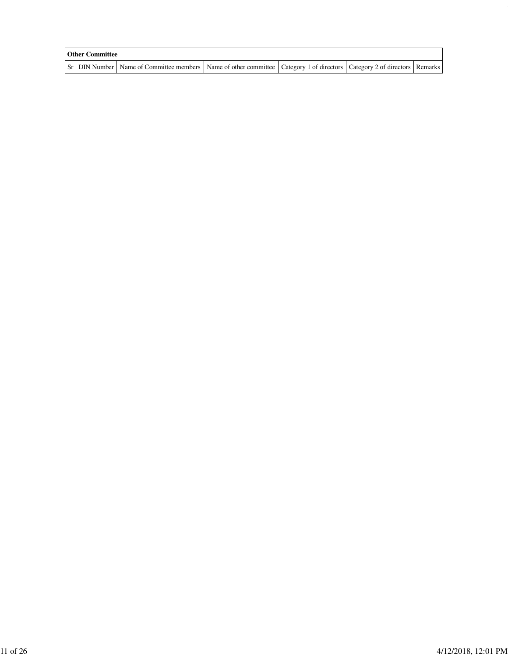| <b>Other Committee</b> |                                                                                                                                     |  |  |
|------------------------|-------------------------------------------------------------------------------------------------------------------------------------|--|--|
|                        | Sr   DIN Number   Name of Committee members   Name of other committee   Category 1 of directors   Category 2 of directors   Remarks |  |  |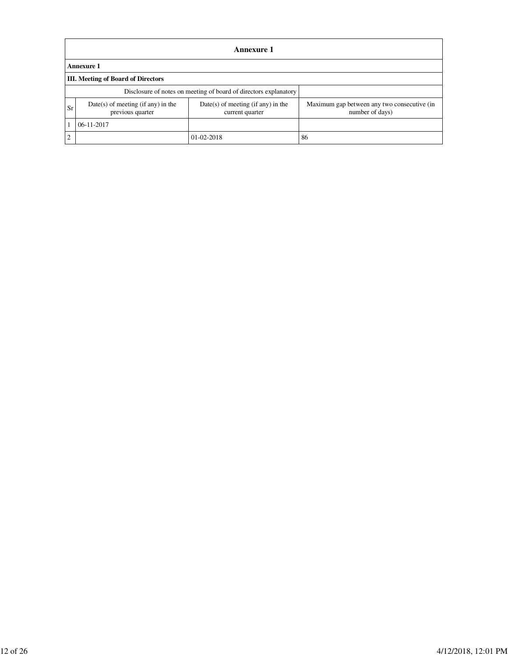|    | Annexure 1                                                       |                                                         |                                                                |  |  |  |  |  |  |  |
|----|------------------------------------------------------------------|---------------------------------------------------------|----------------------------------------------------------------|--|--|--|--|--|--|--|
|    | Annexure 1                                                       |                                                         |                                                                |  |  |  |  |  |  |  |
|    | <b>III.</b> Meeting of Board of Directors                        |                                                         |                                                                |  |  |  |  |  |  |  |
|    | Disclosure of notes on meeting of board of directors explanatory |                                                         |                                                                |  |  |  |  |  |  |  |
| Sr | $Date(s)$ of meeting (if any) in the<br>previous quarter         | $Date(s)$ of meeting (if any) in the<br>current quarter | Maximum gap between any two consecutive (in<br>number of days) |  |  |  |  |  |  |  |
|    | $06-11-2017$                                                     |                                                         |                                                                |  |  |  |  |  |  |  |
| C  |                                                                  | $01 - 02 - 2018$                                        | 86                                                             |  |  |  |  |  |  |  |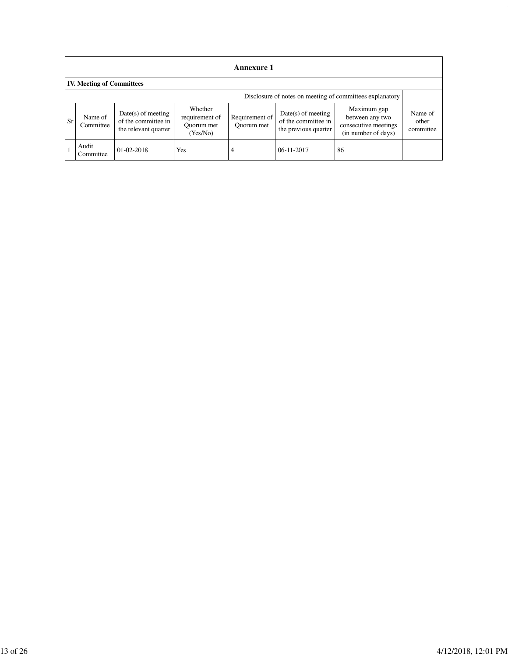|    | <b>Annexure 1</b>                                        |                                                                     |                                                     |                              |                                                                     |                                                                               |                               |  |
|----|----------------------------------------------------------|---------------------------------------------------------------------|-----------------------------------------------------|------------------------------|---------------------------------------------------------------------|-------------------------------------------------------------------------------|-------------------------------|--|
|    | <b>IV. Meeting of Committees</b>                         |                                                                     |                                                     |                              |                                                                     |                                                                               |                               |  |
|    | Disclosure of notes on meeting of committees explanatory |                                                                     |                                                     |                              |                                                                     |                                                                               |                               |  |
| Sr | Name of<br>Committee                                     | $Date(s)$ of meeting<br>of the committee in<br>the relevant quarter | Whether<br>requirement of<br>Ouorum met<br>(Yes/No) | Requirement of<br>Ouorum met | $Date(s)$ of meeting<br>of the committee in<br>the previous quarter | Maximum gap<br>between any two<br>consecutive meetings<br>(in number of days) | Name of<br>other<br>committee |  |
|    | Audit<br>Committee                                       | $01 - 02 - 2018$                                                    | Yes                                                 | 4                            | $06-11-2017$                                                        | 86                                                                            |                               |  |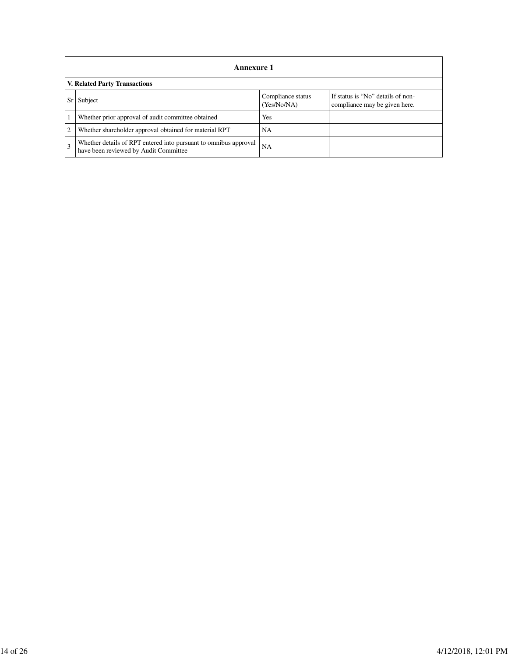|    | <b>Annexure 1</b>                                                                                         |                                  |                                                                    |  |  |  |
|----|-----------------------------------------------------------------------------------------------------------|----------------------------------|--------------------------------------------------------------------|--|--|--|
|    | V. Related Party Transactions                                                                             |                                  |                                                                    |  |  |  |
| Sr | Subject                                                                                                   | Compliance status<br>(Yes/No/NA) | If status is "No" details of non-<br>compliance may be given here. |  |  |  |
|    | Whether prior approval of audit committee obtained                                                        | Yes                              |                                                                    |  |  |  |
|    | Whether shareholder approval obtained for material RPT                                                    | <b>NA</b>                        |                                                                    |  |  |  |
|    | Whether details of RPT entered into pursuant to omnibus approval<br>have been reviewed by Audit Committee | <b>NA</b>                        |                                                                    |  |  |  |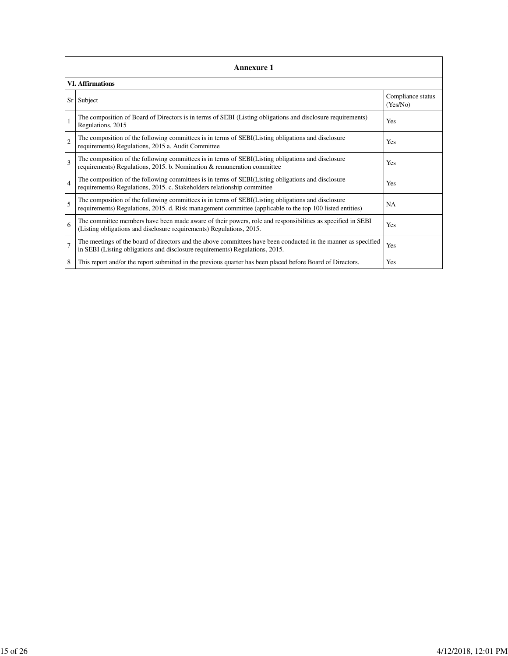|                | <b>Annexure 1</b>                                                                                                                                                                                               |                               |  |  |  |  |
|----------------|-----------------------------------------------------------------------------------------------------------------------------------------------------------------------------------------------------------------|-------------------------------|--|--|--|--|
|                | VI. Affirmations                                                                                                                                                                                                |                               |  |  |  |  |
| Sr             | Subject                                                                                                                                                                                                         | Compliance status<br>(Yes/No) |  |  |  |  |
|                | The composition of Board of Directors is in terms of SEBI (Listing obligations and disclosure requirements)<br>Regulations, 2015                                                                                | Yes                           |  |  |  |  |
| $\mathfrak{2}$ | The composition of the following committees is in terms of SEBI(Listing obligations and disclosure<br>requirements) Regulations, 2015 a. Audit Committee                                                        | Yes                           |  |  |  |  |
| 3              | The composition of the following committees is in terms of SEBI(Listing obligations and disclosure<br>requirements) Regulations, 2015. b. Nomination & remuneration committee                                   | Yes                           |  |  |  |  |
| $\overline{4}$ | The composition of the following committees is in terms of SEBI(Listing obligations and disclosure<br>requirements) Regulations, 2015. c. Stakeholders relationship committee                                   | Yes                           |  |  |  |  |
| 5              | The composition of the following committees is in terms of SEBI(Listing obligations and disclosure<br>requirements) Regulations, 2015. d. Risk management committee (applicable to the top 100 listed entities) | <b>NA</b>                     |  |  |  |  |
| 6              | The committee members have been made aware of their powers, role and responsibilities as specified in SEBI<br>(Listing obligations and disclosure requirements) Regulations, 2015.                              | Yes                           |  |  |  |  |
| $\overline{7}$ | The meetings of the board of directors and the above committees have been conducted in the manner as specified<br>in SEBI (Listing obligations and disclosure requirements) Regulations, 2015.                  | Yes                           |  |  |  |  |
| 8              | This report and/or the report submitted in the previous quarter has been placed before Board of Directors.                                                                                                      | Yes                           |  |  |  |  |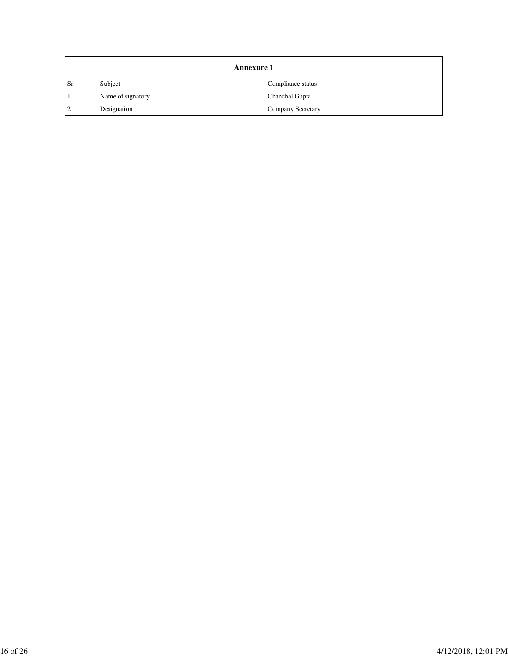|    | <b>Annexure 1</b> |                   |  |  |  |
|----|-------------------|-------------------|--|--|--|
| Sr | Subject           | Compliance status |  |  |  |
|    | Name of signatory | Chanchal Gupta    |  |  |  |
|    | Designation       | Company Secretary |  |  |  |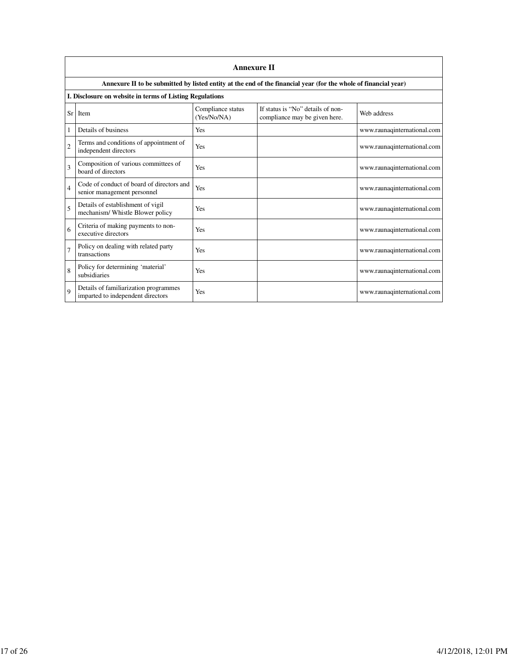|                | <b>Annexure II</b>                                                         |                                  |                                                                                                                 |                             |  |  |
|----------------|----------------------------------------------------------------------------|----------------------------------|-----------------------------------------------------------------------------------------------------------------|-----------------------------|--|--|
|                |                                                                            |                                  | Annexure II to be submitted by listed entity at the end of the financial year (for the whole of financial year) |                             |  |  |
|                | I. Disclosure on website in terms of Listing Regulations                   |                                  |                                                                                                                 |                             |  |  |
| Sr             | Item                                                                       | Compliance status<br>(Yes/No/NA) | If status is "No" details of non-<br>compliance may be given here.                                              | Web address                 |  |  |
|                | Details of business                                                        | Yes                              |                                                                                                                 | www.raunaqinternational.com |  |  |
| $\overline{2}$ | Terms and conditions of appointment of<br>independent directors            | Yes                              |                                                                                                                 | www.raunaqinternational.com |  |  |
| 3              | Composition of various committees of<br>board of directors                 | Yes                              |                                                                                                                 | www.raunaqinternational.com |  |  |
| 4              | Code of conduct of board of directors and<br>senior management personnel   | Yes                              |                                                                                                                 | www.raunaqinternational.com |  |  |
| 5              | Details of establishment of vigil<br>mechanism/ Whistle Blower policy      | Yes                              |                                                                                                                 | www.raunaqinternational.com |  |  |
| 6              | Criteria of making payments to non-<br>executive directors                 | Yes                              |                                                                                                                 | www.raunaqinternational.com |  |  |
| $\overline{7}$ | Policy on dealing with related party<br>transactions                       | Yes                              |                                                                                                                 | www.raunaqinternational.com |  |  |
| 8              | Policy for determining 'material'<br>subsidiaries                          | Yes                              |                                                                                                                 | www.raunaqinternational.com |  |  |
| 9              | Details of familiarization programmes<br>imparted to independent directors | Yes                              |                                                                                                                 | www.raunaqinternational.com |  |  |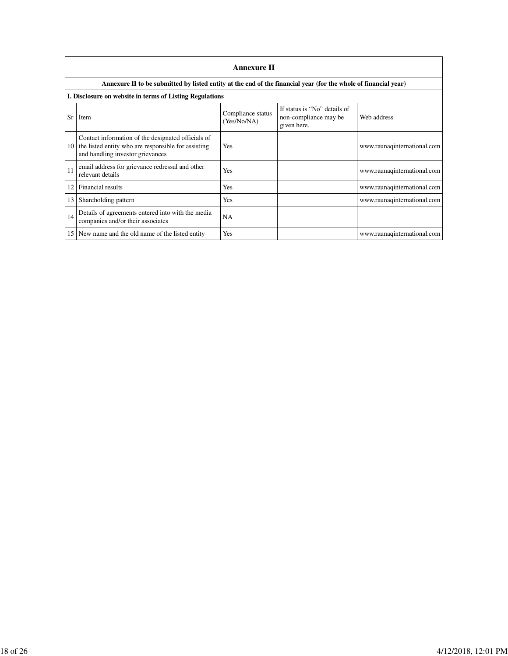|    | <b>Annexure II</b>                                                                                                                            |                                  |                                                                      |                             |  |  |
|----|-----------------------------------------------------------------------------------------------------------------------------------------------|----------------------------------|----------------------------------------------------------------------|-----------------------------|--|--|
|    | Annexure II to be submitted by listed entity at the end of the financial year (for the whole of financial year)                               |                                  |                                                                      |                             |  |  |
|    | I. Disclosure on website in terms of Listing Regulations                                                                                      |                                  |                                                                      |                             |  |  |
| Sr | Item                                                                                                                                          | Compliance status<br>(Yes/No/NA) | If status is "No" details of<br>non-compliance may be<br>given here. | Web address                 |  |  |
| 10 | Contact information of the designated officials of<br>the listed entity who are responsible for assisting<br>and handling investor grievances | Yes                              |                                                                      | www.raunaqinternational.com |  |  |
| 11 | email address for grievance redressal and other<br>relevant details                                                                           | Yes                              |                                                                      | www.raunaqinternational.com |  |  |
| 12 | Financial results                                                                                                                             | Yes                              |                                                                      | www.raunaqinternational.com |  |  |
| 13 | Shareholding pattern                                                                                                                          | Yes                              |                                                                      | www.raunaqinternational.com |  |  |
| 14 | Details of agreements entered into with the media<br>companies and/or their associates                                                        | NA                               |                                                                      |                             |  |  |
| 15 | New name and the old name of the listed entity                                                                                                | Yes                              |                                                                      | www.raunaqinternational.com |  |  |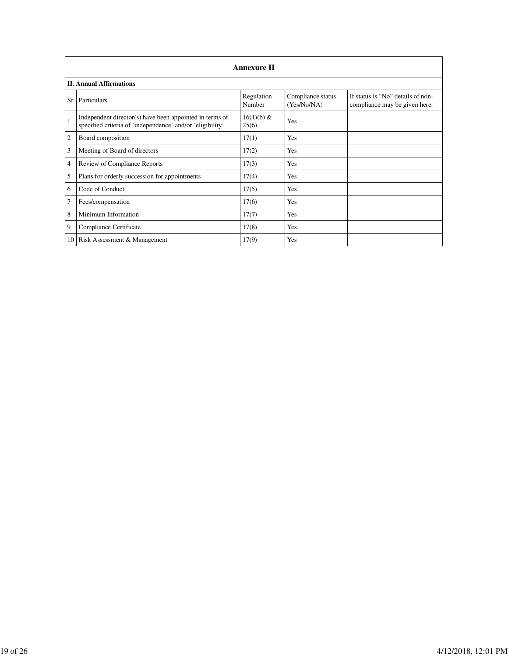|    | <b>Annexure II</b>                                                                                                   |                      |                                  |                                                                    |  |  |  |
|----|----------------------------------------------------------------------------------------------------------------------|----------------------|----------------------------------|--------------------------------------------------------------------|--|--|--|
|    | <b>II. Annual Affirmations</b>                                                                                       |                      |                                  |                                                                    |  |  |  |
| Sr | Particulars                                                                                                          | Regulation<br>Number | Compliance status<br>(Yes/No/NA) | If status is "No" details of non-<br>compliance may be given here. |  |  |  |
|    | Independent director(s) have been appointed in terms of<br>specified criteria of 'independence' and/or 'eligibility' | 16(1)(b) &<br>25(6)  | Yes                              |                                                                    |  |  |  |
| 2  | Board composition                                                                                                    | 17(1)                | Yes                              |                                                                    |  |  |  |
| 3  | Meeting of Board of directors                                                                                        | 17(2)                | Yes                              |                                                                    |  |  |  |
| 4  | Review of Compliance Reports                                                                                         | 17(3)                | Yes                              |                                                                    |  |  |  |
| 5  | Plans for orderly succession for appointments                                                                        | 17(4)                | Yes                              |                                                                    |  |  |  |
| 6  | Code of Conduct                                                                                                      | 17(5)                | Yes                              |                                                                    |  |  |  |
| 7  | Fees/compensation                                                                                                    | 17(6)                | Yes                              |                                                                    |  |  |  |
| 8  | Minimum Information                                                                                                  | 17(7)                | Yes                              |                                                                    |  |  |  |
| 9  | Compliance Certificate                                                                                               | 17(8)                | Yes                              |                                                                    |  |  |  |
|    | 10 Risk Assessment & Management                                                                                      | 17(9)                | Yes                              |                                                                    |  |  |  |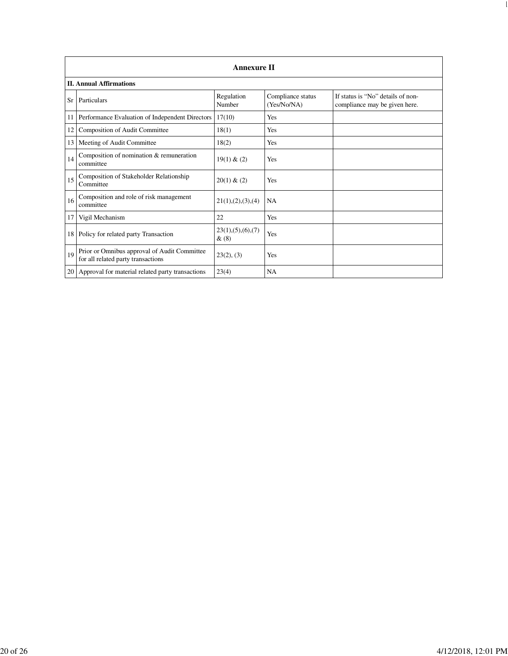|    | <b>Annexure II</b>                                                                 |                              |                                  |                                                                    |  |  |
|----|------------------------------------------------------------------------------------|------------------------------|----------------------------------|--------------------------------------------------------------------|--|--|
|    | <b>II. Annual Affirmations</b>                                                     |                              |                                  |                                                                    |  |  |
| Sr | Particulars                                                                        | Regulation<br>Number         | Compliance status<br>(Yes/No/NA) | If status is "No" details of non-<br>compliance may be given here. |  |  |
| 11 | Performance Evaluation of Independent Directors                                    | 17(10)                       | Yes                              |                                                                    |  |  |
| 12 | Composition of Audit Committee                                                     | 18(1)                        | Yes                              |                                                                    |  |  |
| 13 | Meeting of Audit Committee                                                         | 18(2)                        | Yes                              |                                                                    |  |  |
| 14 | Composition of nomination & remuneration<br>committee                              | 19(1) & (2)                  | Yes                              |                                                                    |  |  |
| 15 | Composition of Stakeholder Relationship<br>Committee                               | 20(1) & (2)                  | Yes                              |                                                                    |  |  |
| 16 | Composition and role of risk management<br>committee                               | 21(1), (2), (3), (4)         | <b>NA</b>                        |                                                                    |  |  |
| 17 | Vigil Mechanism                                                                    | 22                           | Yes                              |                                                                    |  |  |
| 18 | Policy for related party Transaction                                               | 23(1), (5), (6), (7)<br>&(8) | Yes                              |                                                                    |  |  |
| 19 | Prior or Omnibus approval of Audit Committee<br>for all related party transactions | 23(2), (3)                   | Yes                              |                                                                    |  |  |
|    | 20 Approval for material related party transactions                                | 23(4)                        | <b>NA</b>                        |                                                                    |  |  |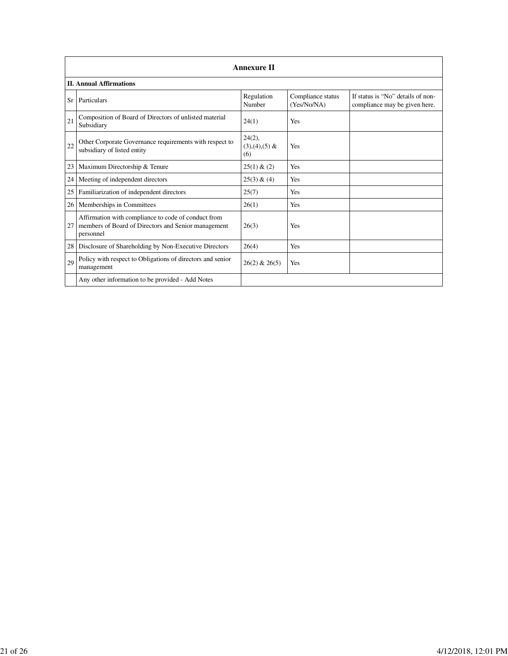|    | <b>Annexure II</b>                                                                                                      |                                     |                                  |                                                                    |  |  |
|----|-------------------------------------------------------------------------------------------------------------------------|-------------------------------------|----------------------------------|--------------------------------------------------------------------|--|--|
|    | <b>II. Annual Affirmations</b>                                                                                          |                                     |                                  |                                                                    |  |  |
| Sr | Particulars                                                                                                             | Regulation<br>Number                | Compliance status<br>(Yes/No/NA) | If status is "No" details of non-<br>compliance may be given here. |  |  |
| 21 | Composition of Board of Directors of unlisted material<br>Subsidiary                                                    | 24(1)                               | Yes                              |                                                                    |  |  |
| 22 | Other Corporate Governance requirements with respect to<br>subsidiary of listed entity                                  | $24(2)$ ,<br>$(3),(4),(5)$ &<br>(6) | Yes                              |                                                                    |  |  |
| 23 | Maximum Directorship & Tenure                                                                                           | 25(1) & (2)                         | Yes                              |                                                                    |  |  |
| 24 | Meeting of independent directors                                                                                        | 25(3) & (4)                         | Yes                              |                                                                    |  |  |
| 25 | Familiarization of independent directors                                                                                | 25(7)                               | Yes                              |                                                                    |  |  |
| 26 | Memberships in Committees                                                                                               | 26(1)                               | Yes                              |                                                                    |  |  |
| 27 | Affirmation with compliance to code of conduct from<br>members of Board of Directors and Senior management<br>personnel | 26(3)                               | Yes                              |                                                                    |  |  |
| 28 | Disclosure of Shareholding by Non-Executive Directors                                                                   | 26(4)                               | Yes                              |                                                                    |  |  |
| 29 | Policy with respect to Obligations of directors and senior<br>management                                                | $26(2)$ & $26(5)$                   | Yes                              |                                                                    |  |  |
|    | Any other information to be provided - Add Notes                                                                        |                                     |                                  |                                                                    |  |  |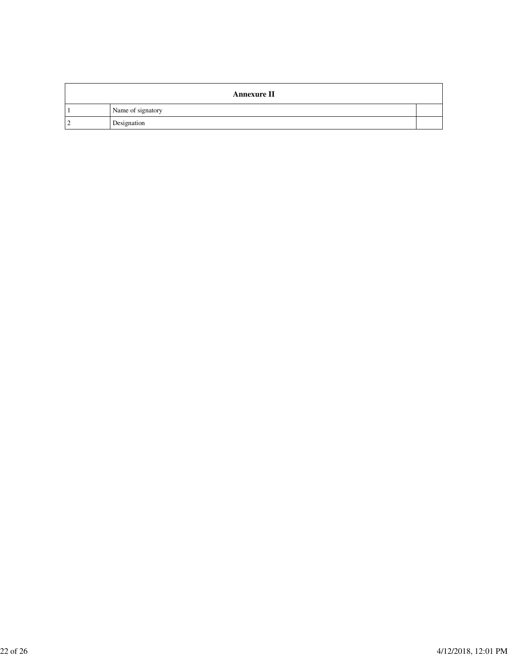| <b>Annexure II</b> |  |
|--------------------|--|
| Name of signatory  |  |
| Designation        |  |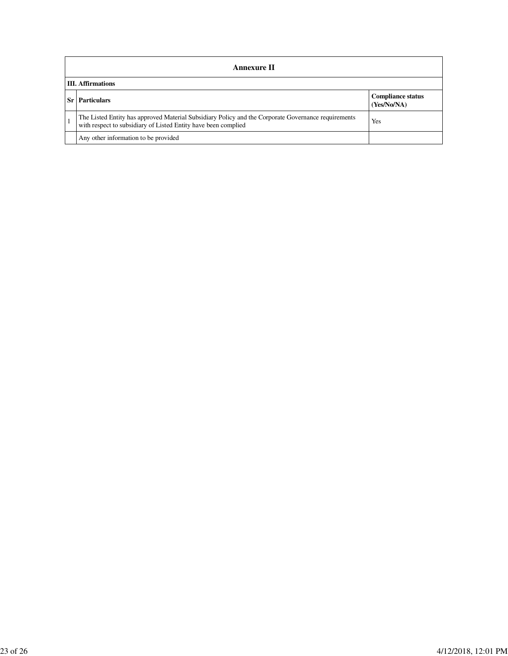|       | <b>Annexure II</b>                                                                                                                                                    |                                         |  |  |  |
|-------|-----------------------------------------------------------------------------------------------------------------------------------------------------------------------|-----------------------------------------|--|--|--|
|       | <b>III.</b> Affirmations                                                                                                                                              |                                         |  |  |  |
| -Sr l | <b>Particulars</b>                                                                                                                                                    | <b>Compliance status</b><br>(Yes/No/NA) |  |  |  |
|       | The Listed Entity has approved Material Subsidiary Policy and the Corporate Governance requirements<br>with respect to subsidiary of Listed Entity have been complied | Yes                                     |  |  |  |
|       | Any other information to be provided                                                                                                                                  |                                         |  |  |  |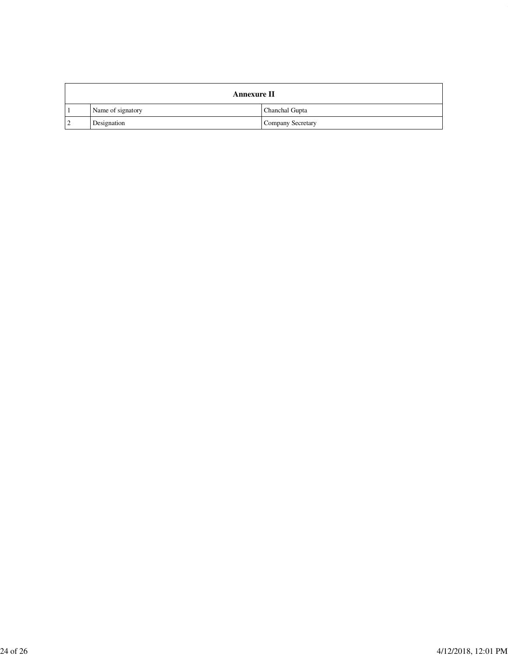| <b>Annexure II</b> |                   |  |  |
|--------------------|-------------------|--|--|
| Name of signatory  | Chanchal Gupta    |  |  |
| Designation        | Company Secretary |  |  |